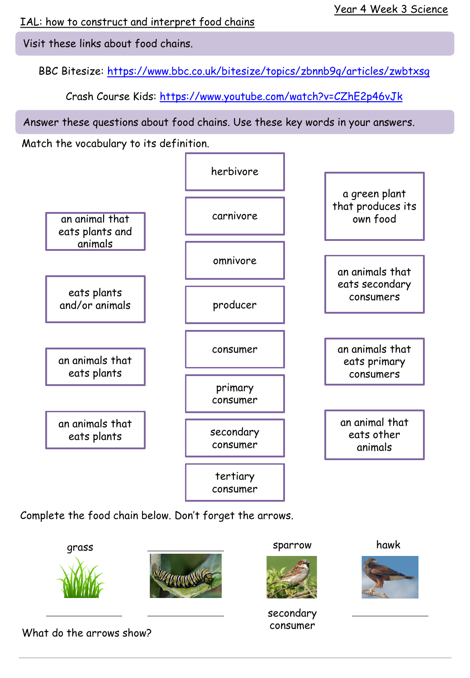IAL: how to construct and interpret food chains

Visit these links about food chains.

BBC Bitesize:<https://www.bbc.co.uk/bitesize/topics/zbnnb9q/articles/zwbtxsg>

Crash Course Kids: <https://www.youtube.com/watch?v=CZhE2p46vJk>

Answer these questions about food chains. Use these key words in your answers.

Match the vocabulary to its definition.



Complete the food chain below. Don't forget the arrows.



What do the arrows show?

consumer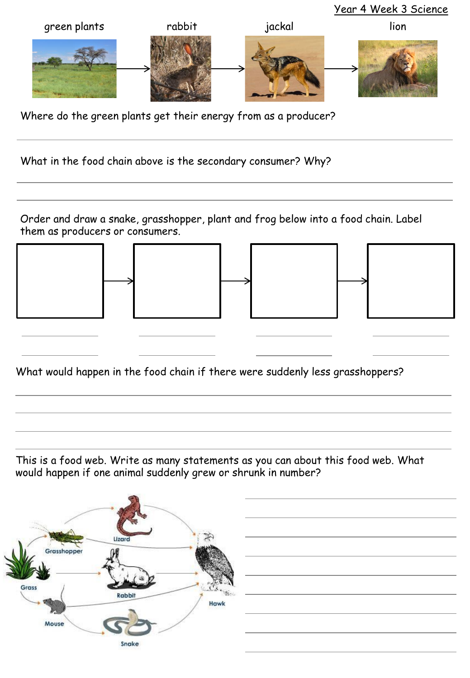

Where do the green plants get their energy from as a producer?

What in the food chain above is the secondary consumer? Why?

Order and draw a snake, grasshopper, plant and frog below into a food chain. Label them as producers or consumers.









What would happen in the food chain if there were suddenly less grasshoppers?

This is a food web. Write as many statements as you can about this food web. What would happen if one animal suddenly grew or shrunk in number?

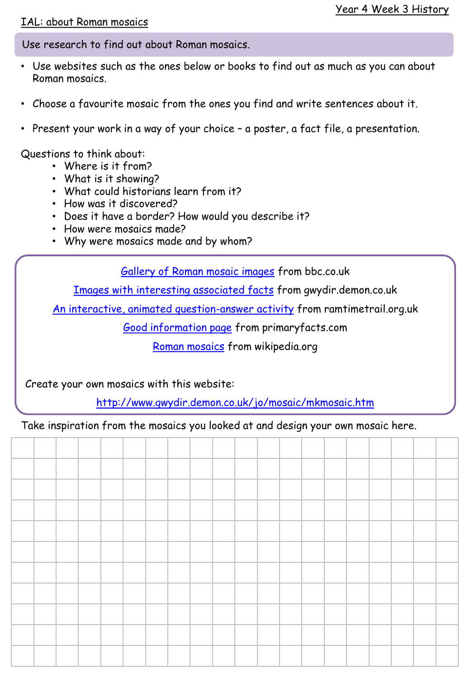## IAL: about Roman mosaics

Use research to find out about Roman mosaics.

- Use websites such as the ones below or books to find out as much as you can about Roman mosaics.
- Choose a favourite mosaic from the ones you find and write sentences about it.
- Present your work in a way of your choice a poster, a fact file, a presentation.

Questions to think about:

- Where is it from?
- What is it showing?
- What could historians learn from it?
- How was it discovered?
- Does it have a border? How would you describe it?
- How were mosaics made?
- Why were mosaics made and by whom?

[Gallery of Roman mosaic images](https://www.bbc.co.uk/history/ancient/romans/mosaics_gallery.shtml) from bbc.co.uk

[Images with interesting associated facts](http://www.gwydir.demon.co.uk/jo/mosaic/mkmosaic.htm) from gwydir.demon.co.uk

[An interactive, animated question-answer activity](https://www.rammtimetrail.org.uk/mosaic/) from ramtimetrail.org.uk

[Good information page](http://primaryfacts.com/3577/roman-mosaics-facts-and-information) from primaryfacts.com

[Roman mosaics](https://en.wikipedia.org/wiki/Roman_mosaic) from wikipedia.org

Create your own mosaics with this website:

<http://www.gwydir.demon.co.uk/jo/mosaic/mkmosaic.htm>

Take inspiration from the mosaics you looked at and design your own mosaic here.